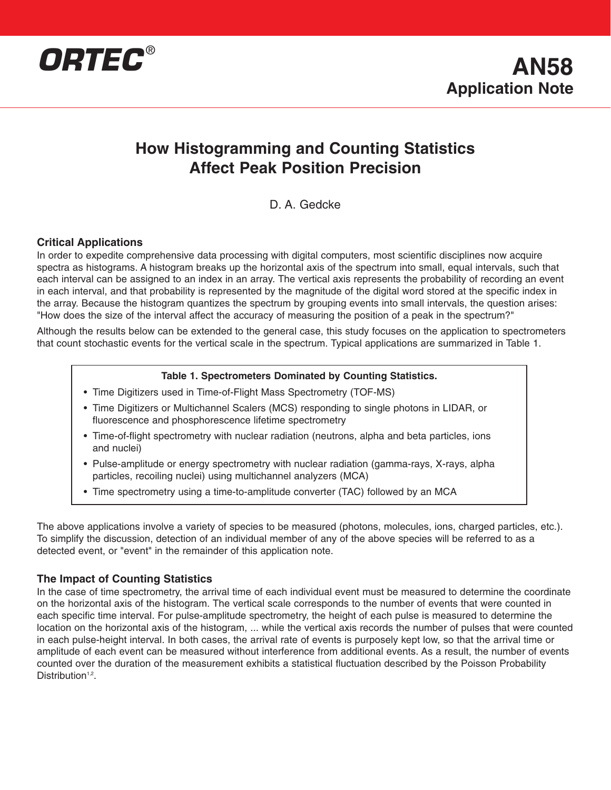

### **How Histogramming and Counting Statistics Affect Peak Position Precision**

D. A. Gedcke

### **Critical Applications**

In order to expedite comprehensive data processing with digital computers, most scientific disciplines now acquire spectra as histograms. A histogram breaks up the horizontal axis of the spectrum into small, equal intervals, such that each interval can be assigned to an index in an array. The vertical axis represents the probability of recording an event in each interval, and that probability is represented by the magnitude of the digital word stored at the specific index in the array. Because the histogram quantizes the spectrum by grouping events into small intervals, the question arises: "How does the size of the interval affect the accuracy of measuring the position of a peak in the spectrum?"

Although the results below can be extended to the general case, this study focuses on the application to spectrometers that count stochastic events for the vertical scale in the spectrum. Typical applications are summarized in Table 1.

#### **Table 1. Spectrometers Dominated by Counting Statistics.**

- Time Digitizers used in Time-of-Flight Mass Spectrometry (TOF-MS)
- Time Digitizers or Multichannel Scalers (MCS) responding to single photons in LIDAR, or fluorescence and phosphorescence lifetime spectrometry
- Time-of-flight spectrometry with nuclear radiation (neutrons, alpha and beta particles, ions and nuclei)
- Pulse-amplitude or energy spectrometry with nuclear radiation (gamma-rays, X-rays, alpha particles, recoiling nuclei) using multichannel analyzers (MCA)
- Time spectrometry using a time-to-amplitude converter (TAC) followed by an MCA

The above applications involve a variety of species to be measured (photons, molecules, ions, charged particles, etc.). To simplify the discussion, detection of an individual member of any of the above species will be referred to as a detected event, or "event" in the remainder of this application note.

### **The Impact of Counting Statistics**

In the case of time spectrometry, the arrival time of each individual event must be measured to determine the coordinate on the horizontal axis of the histogram. The vertical scale corresponds to the number of events that were counted in each specific time interval. For pulse-amplitude spectrometry, the height of each pulse is measured to determine the location on the horizontal axis of the histogram, ... while the vertical axis records the number of pulses that were counted in each pulse-height interval. In both cases, the arrival rate of events is purposely kept low, so that the arrival time or amplitude of each event can be measured without interference from additional events. As a result, the number of events counted over the duration of the measurement exhibits a statistical fluctuation described by the Poisson Probability Distribution<sup>1,2</sup>.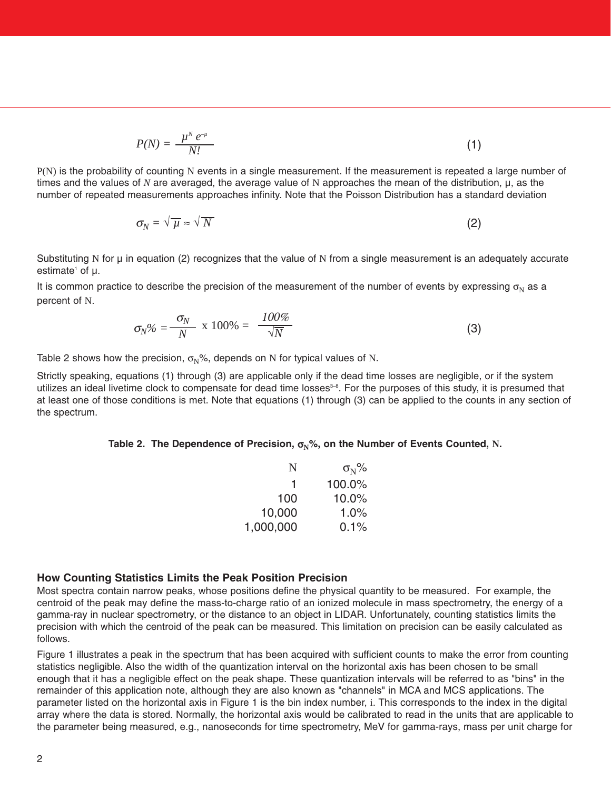$$
P(N) = \frac{\mu^N e^{-\mu}}{N!}
$$
 (1)

P(N) is the probability of counting N events in a single measurement. If the measurement is repeated a large number of times and the values of *N* are averaged, the average value of N approaches the mean of the distribution, µ, as the number of repeated measurements approaches infinity. Note that the Poisson Distribution has a standard deviation

$$
\sigma_N = \sqrt{\mu} \approx \sqrt{N} \tag{2}
$$

Substituting N for  $\mu$  in equation (2) recognizes that the value of N from a single measurement is an adequately accurate  $estimate<sup>1</sup>$  of  $u<sub>1</sub>$ .

It is common practice to describe the precision of the measurement of the number of events by expressing  $\sigma_N$  as a percent of N.

$$
\sigma_N\% = \frac{\sigma_N}{N} \times 100\% = \frac{100\%}{\sqrt{N}}
$$
\n(3)

Table 2 shows how the precision,  $\sigma_N$ %, depends on N for typical values of N.

Strictly speaking, equations (1) through (3) are applicable only if the dead time losses are negligible, or if the system utilizes an ideal livetime clock to compensate for dead time losses $3-8$ . For the purposes of this study, it is presumed that at least one of those conditions is met. Note that equations (1) through (3) can be applied to the counts in any section of the spectrum.

#### **Table 2. The Dependence of Precision,**  $\sigma_N$ **%, on the Number of Events Counted, N.**

| N         | $\sigma_{\rm N}$ % |  |
|-----------|--------------------|--|
| 1         | 100.0%             |  |
| 100       | 10.0%              |  |
| 10,000    | $1.0\%$            |  |
| 1,000,000 | 0.1%               |  |

#### **How Counting Statistics Limits the Peak Position Precision**

Most spectra contain narrow peaks, whose positions define the physical quantity to be measured. For example, the centroid of the peak may define the mass-to-charge ratio of an ionized molecule in mass spectrometry, the energy of a gamma-ray in nuclear spectrometry, or the distance to an object in LIDAR. Unfortunately, counting statistics limits the precision with which the centroid of the peak can be measured. This limitation on precision can be easily calculated as follows.

Figure 1 illustrates a peak in the spectrum that has been acquired with sufficient counts to make the error from counting statistics negligible. Also the width of the quantization interval on the horizontal axis has been chosen to be small enough that it has a negligible effect on the peak shape. These quantization intervals will be referred to as "bins" in the remainder of this application note, although they are also known as "channels" in MCA and MCS applications. The parameter listed on the horizontal axis in Figure 1 is the bin index number, i. This corresponds to the index in the digital array where the data is stored. Normally, the horizontal axis would be calibrated to read in the units that are applicable to the parameter being measured, e.g., nanoseconds for time spectrometry, MeV for gamma-rays, mass per unit charge for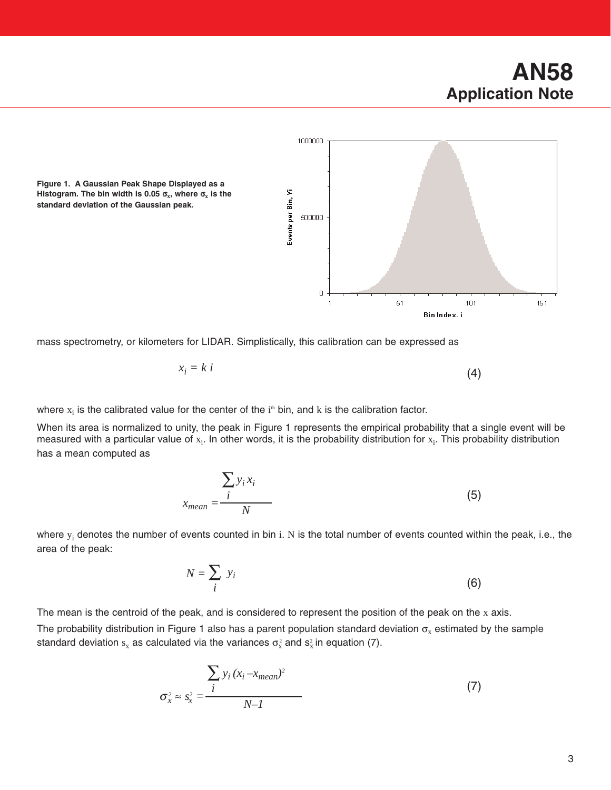# **AN58 Application Note**



**Figure 1. A Gaussian Peak Shape Displayed as a Histogram. The bin width is 0.05**  $\sigma_x$ **, where**  $\sigma_x$  **is the standard deviation of the Gaussian peak.**

mass spectrometry, or kilometers for LIDAR. Simplistically, this calibration can be expressed as

$$
x_i = k \ i \tag{4}
$$

where  $x_i$  is the calibrated value for the center of the  $i<sup>th</sup>$  bin, and k is the calibration factor.

When its area is normalized to unity, the peak in Figure 1 represents the empirical probability that a single event will be measured with a particular value of  $x_i$ . In other words, it is the probability distribution for  $x_i$ . This probability distribution has a mean computed as

$$
x_{mean} = \frac{\sum_{i} y_i x_i}{N}
$$
 (5)

where  $y_i$  denotes the number of events counted in bin i. N is the total number of events counted within the peak, i.e., the area of the peak:

$$
N = \sum_{i} y_i \tag{6}
$$

The mean is the centroid of the peak, and is considered to represent the position of the peak on the  $x$  axis. The probability distribution in Figure 1 also has a parent population standard deviation  $\sigma_x$  estimated by the sample

standard deviation  $s_x$  as calculated via the variances  $\sigma_x^2$  and  $s_x^2$  in equation (7).

$$
\sigma_x^2 \approx s_x^2 = \frac{\sum_{i} y_i (x_i - x_{mean})^2}{N - 1}
$$
 (7)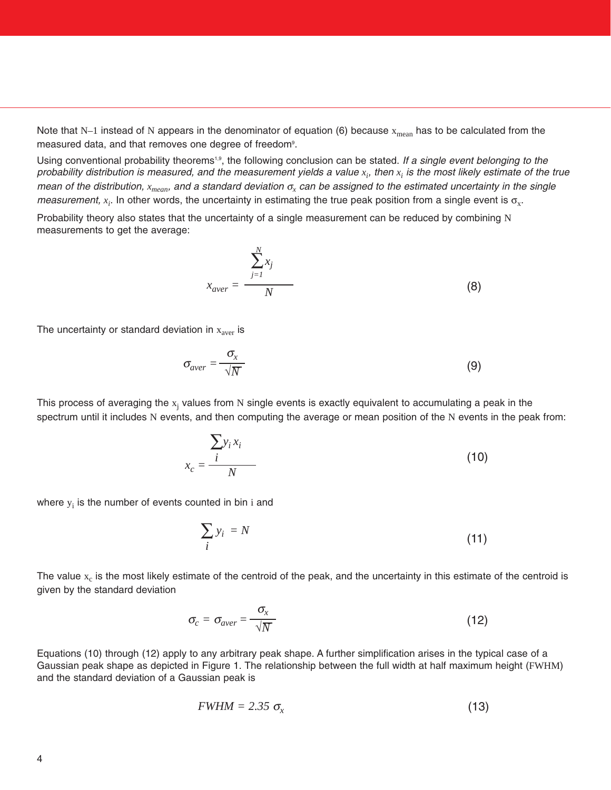Note that N–1 instead of N appears in the denominator of equation (6) because  $x_{mean}$  has to be calculated from the measured data, and that removes one degree of freedom<sup>9</sup>.

Using conventional probability theorems<sup>1,9</sup>, the following conclusion can be stated. *If a single event belonging to the* probability distribution is measured, and the measurement yields a value  $x_i$ , then  $x_i$  is the most likely estimate of the true *mean of the distribution, xmean, and a standard deviation* <sup>σ</sup>*<sup>x</sup> can be assigned to the estimated uncertainty in the single measurement,*  $x_i$ *.* In other words, the uncertainty in estimating the true peak position from a single event is  $\sigma_x$ .

Probability theory also states that the uncertainty of a single measurement can be reduced by combining N measurements to get the average:

$$
x_{aver} = \frac{\sum_{j=1}^{N} x_j}{N}
$$
 (8)

The uncertainty or standard deviation in  $x<sub>aver</sub>$  is

$$
\sigma_{aver} = \frac{\sigma_x}{\sqrt{N}}
$$
\n(9)

This process of averaging the  $x_i$  values from N single events is exactly equivalent to accumulating a peak in the spectrum until it includes N events, and then computing the average or mean position of the N events in the peak from:

$$
x_c = \frac{\sum y_i x_i}{N}
$$
 (10)

where  $y_i$  is the number of events counted in bin i and

$$
\sum_{i} y_i = N \tag{11}
$$

The value  $x_c$  is the most likely estimate of the centroid of the peak, and the uncertainty in this estimate of the centroid is given by the standard deviation

$$
\sigma_c = \sigma_{aver} = \frac{\sigma_x}{\sqrt{N}}
$$
\n(12)

Equations (10) through (12) apply to any arbitrary peak shape. A further simplification arises in the typical case of a Gaussian peak shape as depicted in Figure 1. The relationship between the full width at half maximum height (FWHM) and the standard deviation of a Gaussian peak is

$$
FWHM = 2.35 \sigma_x \tag{13}
$$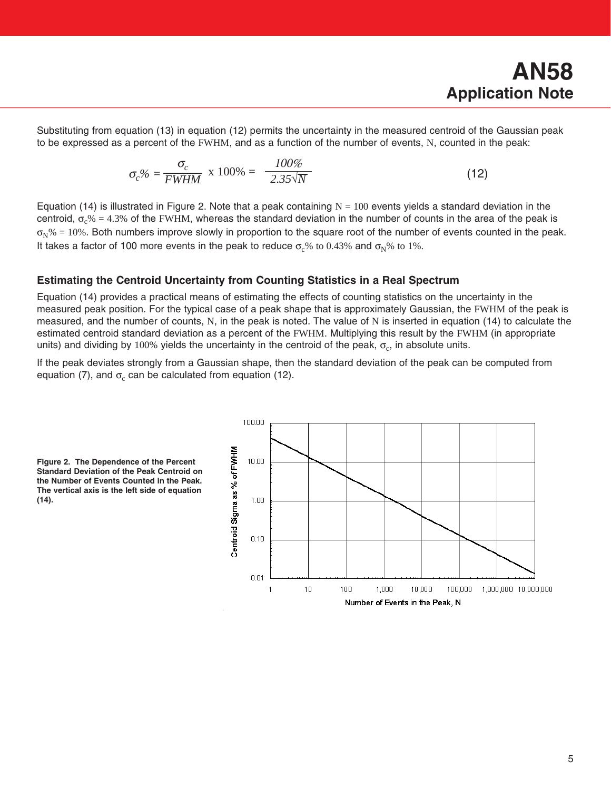Substituting from equation (13) in equation (12) permits the uncertainty in the measured centroid of the Gaussian peak to be expressed as a percent of the FWHM, and as a function of the number of events, N, counted in the peak:

$$
\sigma_c\% = \frac{\sigma_c}{FWHM} \times 100\% = \frac{100\%}{2.35\sqrt{N}}
$$
\n(12)

Equation (14) is illustrated in Figure 2. Note that a peak containing  $N = 100$  events yields a standard deviation in the centroid,  $\sigma$ <sub>c</sub>% = 4.3% of the FWHM, whereas the standard deviation in the number of counts in the area of the peak is  $\sigma_N$ % = 10%. Both numbers improve slowly in proportion to the square root of the number of events counted in the peak. It takes a factor of 100 more events in the peak to reduce  $\sigma_c$ % to 0.43% and  $\sigma_N$ % to 1%.

#### **Estimating the Centroid Uncertainty from Counting Statistics in a Real Spectrum**

Equation (14) provides a practical means of estimating the effects of counting statistics on the uncertainty in the measured peak position. For the typical case of a peak shape that is approximately Gaussian, the FWHM of the peak is measured, and the number of counts, N, in the peak is noted. The value of N is inserted in equation (14) to calculate the estimated centroid standard deviation as a percent of the FWHM. Multiplying this result by the FWHM (in appropriate units) and dividing by 100% yields the uncertainty in the centroid of the peak,  $\sigma_c$ , in absolute units.

If the peak deviates strongly from a Gaussian shape, then the standard deviation of the peak can be computed from equation (7), and  $\sigma_c$  can be calculated from equation (12).



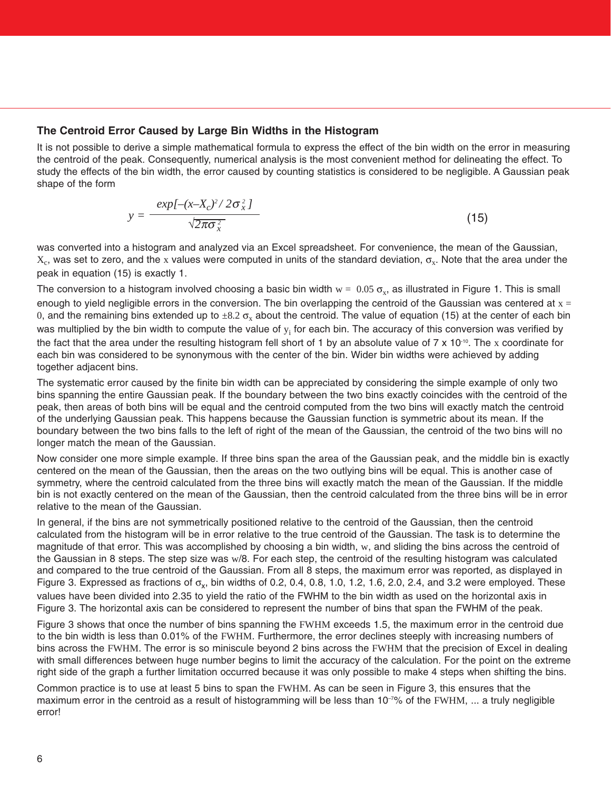#### **The Centroid Error Caused by Large Bin Widths in the Histogram**

It is not possible to derive a simple mathematical formula to express the effect of the bin width on the error in measuring the centroid of the peak. Consequently, numerical analysis is the most convenient method for delineating the effect. To study the effects of the bin width, the error caused by counting statistics is considered to be negligible. A Gaussian peak shape of the form

$$
y = \frac{exp[-(x-X_c)^2/2\sigma_x^2]}{\sqrt{2\pi\sigma_x^2}}
$$
(15)

was converted into a histogram and analyzed via an Excel spreadsheet. For convenience, the mean of the Gaussian,  $X_c$ , was set to zero, and the x values were computed in units of the standard deviation,  $\sigma_x$ . Note that the area under the peak in equation (15) is exactly 1.

The conversion to a histogram involved choosing a basic bin width  $w = 0.05 \sigma_x$ , as illustrated in Figure 1. This is small enough to yield negligible errors in the conversion. The bin overlapping the centroid of the Gaussian was centered at  $x =$ 0, and the remaining bins extended up to  $\pm 8.2 \sigma_x$  about the centroid. The value of equation (15) at the center of each bin was multiplied by the bin width to compute the value of  $y_i$  for each bin. The accuracy of this conversion was verified by the fact that the area under the resulting histogram fell short of 1 by an absolute value of  $7 \times 10^{-10}$ . The x coordinate for each bin was considered to be synonymous with the center of the bin. Wider bin widths were achieved by adding together adjacent bins.

The systematic error caused by the finite bin width can be appreciated by considering the simple example of only two bins spanning the entire Gaussian peak. If the boundary between the two bins exactly coincides with the centroid of the peak, then areas of both bins will be equal and the centroid computed from the two bins will exactly match the centroid of the underlying Gaussian peak. This happens because the Gaussian function is symmetric about its mean. If the boundary between the two bins falls to the left of right of the mean of the Gaussian, the centroid of the two bins will no longer match the mean of the Gaussian.

Now consider one more simple example. If three bins span the area of the Gaussian peak, and the middle bin is exactly centered on the mean of the Gaussian, then the areas on the two outlying bins will be equal. This is another case of symmetry, where the centroid calculated from the three bins will exactly match the mean of the Gaussian. If the middle bin is not exactly centered on the mean of the Gaussian, then the centroid calculated from the three bins will be in error relative to the mean of the Gaussian.

In general, if the bins are not symmetrically positioned relative to the centroid of the Gaussian, then the centroid calculated from the histogram will be in error relative to the true centroid of the Gaussian. The task is to determine the magnitude of that error. This was accomplished by choosing a bin width, w, and sliding the bins across the centroid of the Gaussian in 8 steps. The step size was w/8. For each step, the centroid of the resulting histogram was calculated and compared to the true centroid of the Gaussian. From all 8 steps, the maximum error was reported, as displayed in Figure 3. Expressed as fractions of  $\sigma_x$ , bin widths of 0.2, 0.4, 0.8, 1.0, 1.2, 1.6, 2.0, 2.4, and 3.2 were employed. These values have been divided into 2.35 to yield the ratio of the FWHM to the bin width as used on the horizontal axis in Figure 3. The horizontal axis can be considered to represent the number of bins that span the FWHM of the peak.

Figure 3 shows that once the number of bins spanning the FWHM exceeds 1.5, the maximum error in the centroid due to the bin width is less than 0.01% of the FWHM. Furthermore, the error declines steeply with increasing numbers of bins across the FWHM. The error is so miniscule beyond 2 bins across the FWHM that the precision of Excel in dealing with small differences between huge number begins to limit the accuracy of the calculation. For the point on the extreme right side of the graph a further limitation occurred because it was only possible to make 4 steps when shifting the bins.

Common practice is to use at least 5 bins to span the FWHM. As can be seen in Figure 3, this ensures that the maximum error in the centroid as a result of histogramming will be less than 10<sup>-7%</sup> of the FWHM, ... a truly negligible error!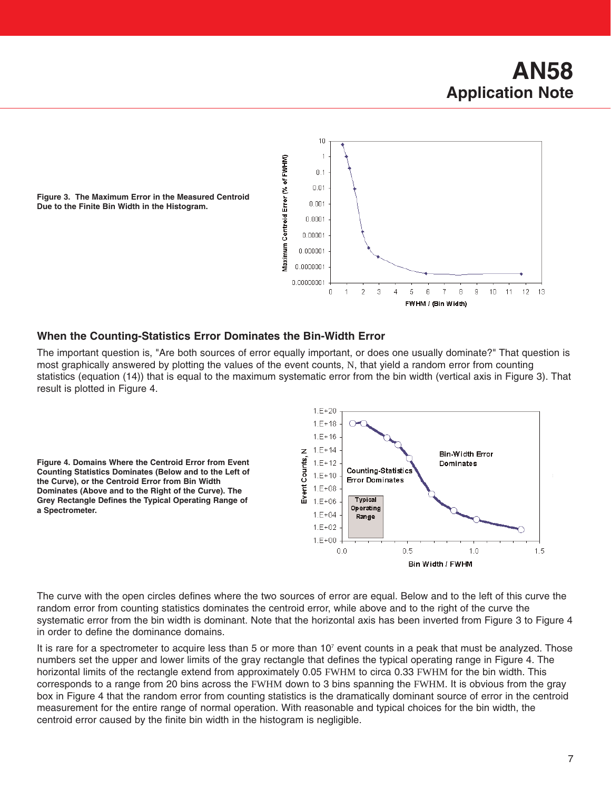## **AN58 Application Note**



**Figure 3. The Maximum Error in the Measured Centroid Due to the Finite Bin Width in the Histogram.**

### **When the Counting-Statistics Error Dominates the Bin-Width Error**

The important question is, "Are both sources of error equally important, or does one usually dominate?" That question is most graphically answered by plotting the values of the event counts, N, that yield a random error from counting statistics (equation (14)) that is equal to the maximum systematic error from the bin width (vertical axis in Figure 3). That result is plotted in Figure 4.

**Figure 4. Domains Where the Centroid Error from Event Counting Statistics Dominates (Below and to the Left of the Curve), or the Centroid Error from Bin Width Dominates (Above and to the Right of the Curve). The Grey Rectangle Defines the Typical Operating Range of a Spectrometer.**



The curve with the open circles defines where the two sources of error are equal. Below and to the left of this curve the random error from counting statistics dominates the centroid error, while above and to the right of the curve the systematic error from the bin width is dominant. Note that the horizontal axis has been inverted from Figure 3 to Figure 4 in order to define the dominance domains.

It is rare for a spectrometer to acquire less than 5 or more than  $10<sup>7</sup>$  event counts in a peak that must be analyzed. Those numbers set the upper and lower limits of the gray rectangle that defines the typical operating range in Figure 4. The horizontal limits of the rectangle extend from approximately 0.05 FWHM to circa 0.33 FWHM for the bin width. This corresponds to a range from 20 bins across the FWHM down to 3 bins spanning the FWHM. It is obvious from the gray box in Figure 4 that the random error from counting statistics is the dramatically dominant source of error in the centroid measurement for the entire range of normal operation. With reasonable and typical choices for the bin width, the centroid error caused by the finite bin width in the histogram is negligible.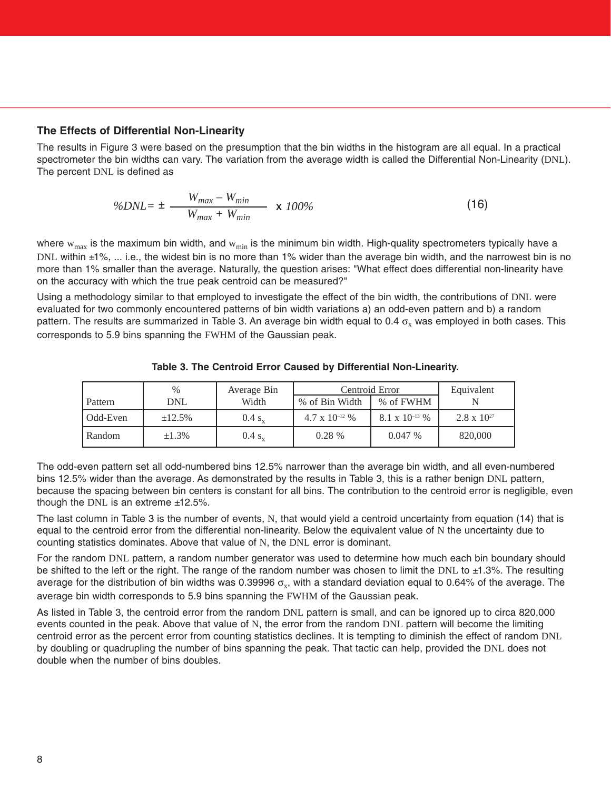#### **The Effects of Differential Non-Linearity**

The results in Figure 3 were based on the presumption that the bin widths in the histogram are all equal. In a practical spectrometer the bin widths can vary. The variation from the average width is called the Differential Non-Linearity (DNL). The percent DNL is defined as

$$
\%DNL = \pm \frac{W_{max} - W_{min}}{W_{max} + W_{min}} \times 100\% \tag{16}
$$

where  $w_{max}$  is the maximum bin width, and  $w_{min}$  is the minimum bin width. High-quality spectrometers typically have a DNL within ±1%, ... i.e., the widest bin is no more than 1% wider than the average bin width, and the narrowest bin is no more than 1% smaller than the average. Naturally, the question arises: "What effect does differential non-linearity have on the accuracy with which the true peak centroid can be measured?"

Using a methodology similar to that employed to investigate the effect of the bin width, the contributions of DNL were evaluated for two commonly encountered patterns of bin width variations a) an odd-even pattern and b) a random pattern. The results are summarized in Table 3. An average bin width equal to 0.4  $\sigma_x$  was employed in both cases. This corresponds to 5.9 bins spanning the FWHM of the Gaussian peak.

|          | %           | Average Bin | Centroid Error     |                    | Equivalent           |
|----------|-------------|-------------|--------------------|--------------------|----------------------|
| Pattern  | DNL         | Width       | % of Bin Width     | % of FWHM          |                      |
| Odd-Even | ±12.5%      | $0.4 s_{x}$ | 4.7 x $10^{-12}$ % | 8.1 x $10^{-13}$ % | $2.8 \times 10^{27}$ |
| Random   | $\pm 1.3\%$ | $0.4 s_v$   | 0.28%              | 0.047%             | 820,000              |

**Table 3. The Centroid Error Caused by Differential Non-Linearity.**

The odd-even pattern set all odd-numbered bins 12.5% narrower than the average bin width, and all even-numbered bins 12.5% wider than the average. As demonstrated by the results in Table 3, this is a rather benign DNL pattern, because the spacing between bin centers is constant for all bins. The contribution to the centroid error is negligible, even though the DNL is an extreme  $±12.5\%$ .

The last column in Table 3 is the number of events, N, that would yield a centroid uncertainty from equation (14) that is equal to the centroid error from the differential non-linearity. Below the equivalent value of N the uncertainty due to counting statistics dominates. Above that value of N, the DNL error is dominant.

For the random DNL pattern, a random number generator was used to determine how much each bin boundary should be shifted to the left or the right. The range of the random number was chosen to limit the DNL to ±1.3%. The resulting average for the distribution of bin widths was 0.39996  $\sigma_v$ , with a standard deviation equal to 0.64% of the average. The average bin width corresponds to 5.9 bins spanning the FWHM of the Gaussian peak.

As listed in Table 3, the centroid error from the random DNL pattern is small, and can be ignored up to circa 820,000 events counted in the peak. Above that value of N, the error from the random DNL pattern will become the limiting centroid error as the percent error from counting statistics declines. It is tempting to diminish the effect of random DNL by doubling or quadrupling the number of bins spanning the peak. That tactic can help, provided the DNL does not double when the number of bins doubles.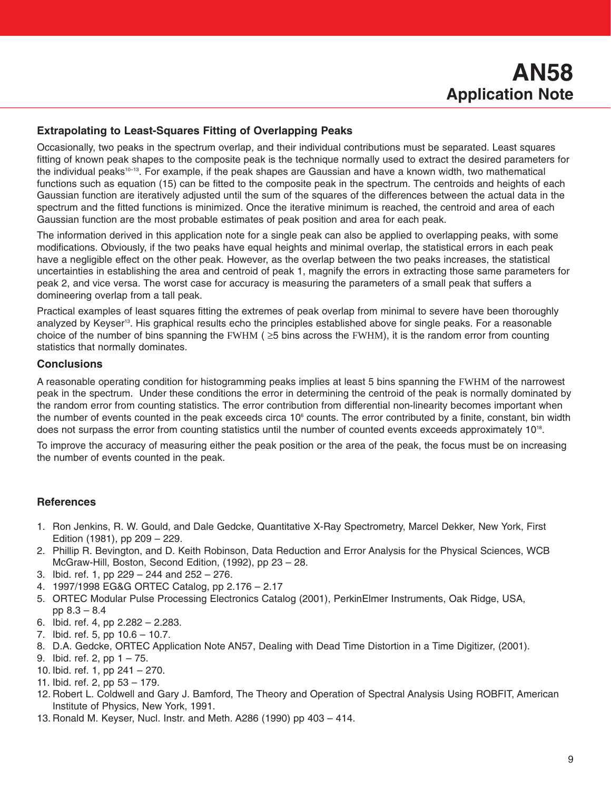#### **Extrapolating to Least-Squares Fitting of Overlapping Peaks**

Occasionally, two peaks in the spectrum overlap, and their individual contributions must be separated. Least squares fitting of known peak shapes to the composite peak is the technique normally used to extract the desired parameters for the individual peaks<sup>10–13</sup>. For example, if the peak shapes are Gaussian and have a known width, two mathematical functions such as equation (15) can be fitted to the composite peak in the spectrum. The centroids and heights of each Gaussian function are iteratively adjusted until the sum of the squares of the differences between the actual data in the spectrum and the fitted functions is minimized. Once the iterative minimum is reached, the centroid and area of each Gaussian function are the most probable estimates of peak position and area for each peak.

The information derived in this application note for a single peak can also be applied to overlapping peaks, with some modifications. Obviously, if the two peaks have equal heights and minimal overlap, the statistical errors in each peak have a negligible effect on the other peak. However, as the overlap between the two peaks increases, the statistical uncertainties in establishing the area and centroid of peak 1, magnify the errors in extracting those same parameters for peak 2, and vice versa. The worst case for accuracy is measuring the parameters of a small peak that suffers a domineering overlap from a tall peak.

Practical examples of least squares fitting the extremes of peak overlap from minimal to severe have been thoroughly analyzed by Keyser<sup>13</sup>. His graphical results echo the principles established above for single peaks. For a reasonable choice of the number of bins spanning the FWHM ( $\geq$ 5 bins across the FWHM), it is the random error from counting statistics that normally dominates.

#### **Conclusions**

A reasonable operating condition for histogramming peaks implies at least 5 bins spanning the FWHM of the narrowest peak in the spectrum. Under these conditions the error in determining the centroid of the peak is normally dominated by the random error from counting statistics. The error contribution from differential non-linearity becomes important when the number of events counted in the peak exceeds circa  $10<sup>6</sup>$  counts. The error contributed by a finite, constant, bin width does not surpass the error from counting statistics until the number of counted events exceeds approximately 1018.

To improve the accuracy of measuring either the peak position or the area of the peak, the focus must be on increasing the number of events counted in the peak.

#### **References**

- 1. Ron Jenkins, R. W. Gould, and Dale Gedcke, Quantitative X-Ray Spectrometry, Marcel Dekker, New York, First Edition (1981), pp 209 – 229.
- 2. Phillip R. Bevington, and D. Keith Robinson, Data Reduction and Error Analysis for the Physical Sciences, WCB McGraw-Hill, Boston, Second Edition, (1992), pp 23 – 28.
- 3. Ibid. ref. 1, pp 229 244 and 252 276.
- 4. 1997/1998 EG&G ORTEC Catalog, pp 2.176 2.17
- 5. ORTEC Modular Pulse Processing Electronics Catalog (2001), PerkinElmer Instruments, Oak Ridge, USA, pp 8.3 – 8.4
- 6. Ibid. ref. 4, pp 2.282 2.283.
- 7. Ibid. ref. 5, pp 10.6 10.7.
- 8. D.A. Gedcke, ORTEC Application Note AN57, Dealing with Dead Time Distortion in a Time Digitizer, (2001).
- 9. Ibid. ref. 2, pp 1 75.
- 10. Ibid. ref. 1, pp 241 270.
- 11. Ibid. ref. 2, pp 53 179.
- 12. Robert L. Coldwell and Gary J. Bamford, The Theory and Operation of Spectral Analysis Using ROBFIT, American Institute of Physics, New York, 1991.
- 13. Ronald M. Keyser, Nucl. Instr. and Meth. A286 (1990) pp 403 414.